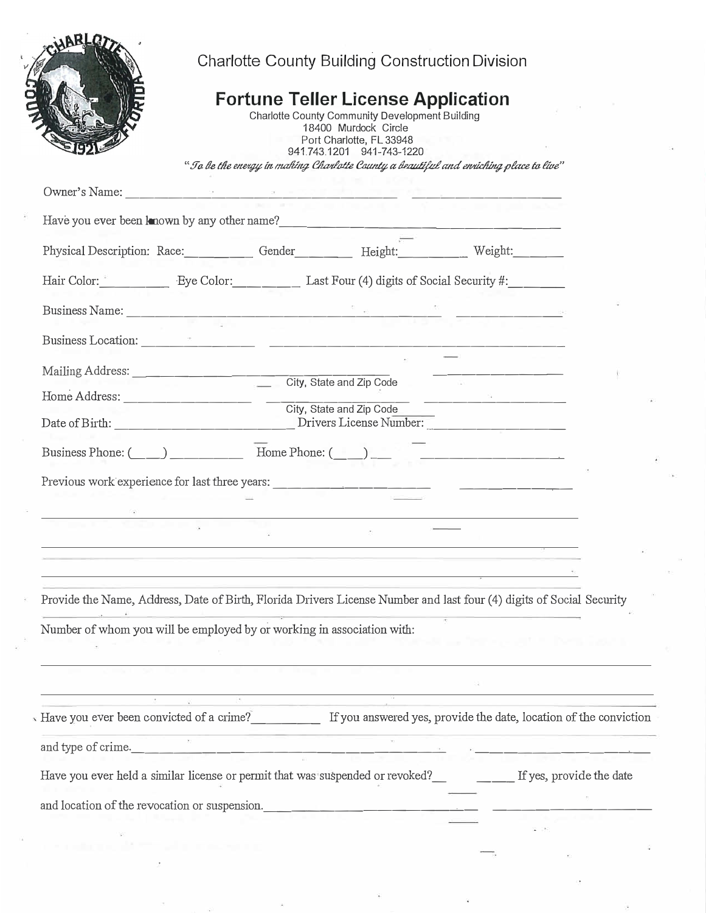|                                                                                                                                                                                                                                        |  |  | <b>Charlotte County Building Construction Division</b>                                                                                                                                                                                                                 |  |  |  |
|----------------------------------------------------------------------------------------------------------------------------------------------------------------------------------------------------------------------------------------|--|--|------------------------------------------------------------------------------------------------------------------------------------------------------------------------------------------------------------------------------------------------------------------------|--|--|--|
|                                                                                                                                                                                                                                        |  |  | <b>Fortune Teller License Application</b><br>Charlotte County Community Development Building<br>18400 Murdock Circle<br>Port Charlotte, FL 33948<br>941.743.1201 941-743-1220<br>"To be the energy in making Charlotte County a beautiful and enriching place to live" |  |  |  |
|                                                                                                                                                                                                                                        |  |  |                                                                                                                                                                                                                                                                        |  |  |  |
| Have you ever been known by any other name?<br><u> and the manual contract of the set of the set of the set of the set of the set of the set of the set of the set of the set of the set of the set of the set of the set of the s</u> |  |  |                                                                                                                                                                                                                                                                        |  |  |  |
| Physical Description: Race: Gender Height: Weight: Weight:                                                                                                                                                                             |  |  |                                                                                                                                                                                                                                                                        |  |  |  |
| Hair Color: Eye Color: Last Four (4) digits of Social Security #:                                                                                                                                                                      |  |  |                                                                                                                                                                                                                                                                        |  |  |  |
|                                                                                                                                                                                                                                        |  |  |                                                                                                                                                                                                                                                                        |  |  |  |
|                                                                                                                                                                                                                                        |  |  |                                                                                                                                                                                                                                                                        |  |  |  |
| Mailing Address: City, State and Zip Code                                                                                                                                                                                              |  |  |                                                                                                                                                                                                                                                                        |  |  |  |
|                                                                                                                                                                                                                                        |  |  |                                                                                                                                                                                                                                                                        |  |  |  |
|                                                                                                                                                                                                                                        |  |  |                                                                                                                                                                                                                                                                        |  |  |  |
| Business Phone: (Changel and Thome Phone: (Changel and Thome Phone: (Changel and Thome Phone: (Changel and Thome Phone: (Changel and Thome Phone: (Changel and Thome Phone: (Changel and Thome Phone: (Changel and Thome Phone         |  |  |                                                                                                                                                                                                                                                                        |  |  |  |
|                                                                                                                                                                                                                                        |  |  |                                                                                                                                                                                                                                                                        |  |  |  |
|                                                                                                                                                                                                                                        |  |  |                                                                                                                                                                                                                                                                        |  |  |  |
|                                                                                                                                                                                                                                        |  |  |                                                                                                                                                                                                                                                                        |  |  |  |
|                                                                                                                                                                                                                                        |  |  |                                                                                                                                                                                                                                                                        |  |  |  |
|                                                                                                                                                                                                                                        |  |  |                                                                                                                                                                                                                                                                        |  |  |  |
| Provide the Name, Address, Date of Birth, Florida Drivers License Number and last four (4) digits of Social Security                                                                                                                   |  |  |                                                                                                                                                                                                                                                                        |  |  |  |
| Number of whom you will be employed by or working in association with:                                                                                                                                                                 |  |  |                                                                                                                                                                                                                                                                        |  |  |  |
|                                                                                                                                                                                                                                        |  |  |                                                                                                                                                                                                                                                                        |  |  |  |
|                                                                                                                                                                                                                                        |  |  |                                                                                                                                                                                                                                                                        |  |  |  |
| Have you ever been convicted of a crime?<br>If you answered yes, provide the date, location of the conviction                                                                                                                          |  |  |                                                                                                                                                                                                                                                                        |  |  |  |
|                                                                                                                                                                                                                                        |  |  |                                                                                                                                                                                                                                                                        |  |  |  |
| and type of crime.                                                                                                                                                                                                                     |  |  |                                                                                                                                                                                                                                                                        |  |  |  |
| Have you ever held a similar license or permit that was suspended or revoked? If yes, provide the date                                                                                                                                 |  |  |                                                                                                                                                                                                                                                                        |  |  |  |

 $\tilde{\mathbf{x}}$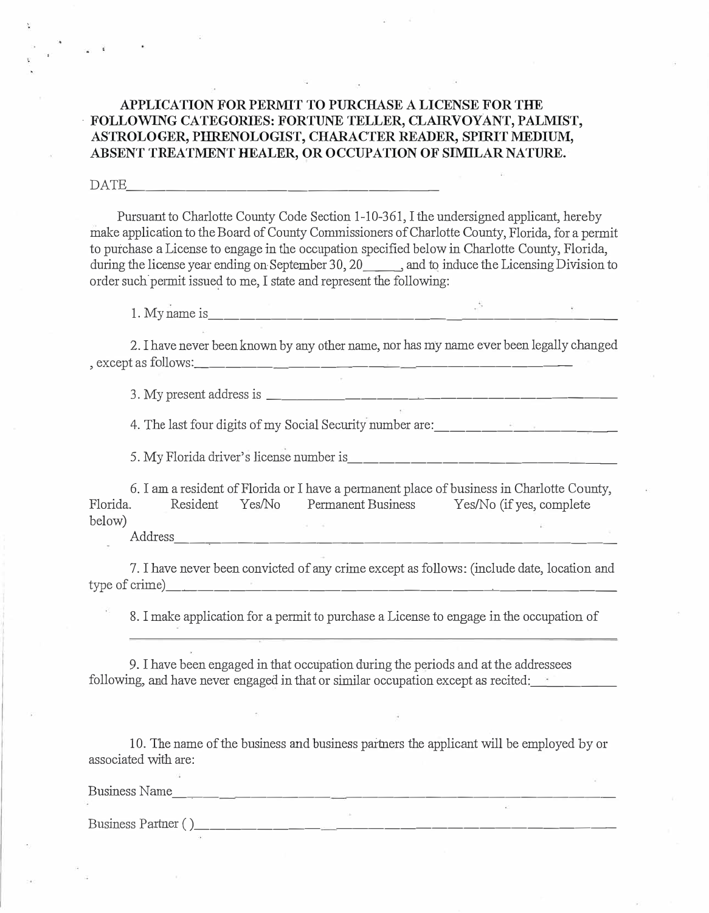### **APPLICATION FOR PERMIT TO PURCHASE A LICENSE FOR THE - FOLLOWING CATEGORIES: FORTUNE TELLER, CLAIRVOYANT, PALMIST, ASTROLOGER, PHRENOLOGIST, CHARACTER READER, SPIRIT MEDIUM, ABSENT TREATMENT HEALER, OR OCCUPATION OF SIMILAR NATURE.**

#### DATE \_\_\_\_\_\_\_\_\_\_\_\_\_\_\_ \_

Pursuant to Charlotte County Code Section 1-10-361, I the undersigned applicant, hereby make application to the Board of County Commissioners of Charlotte County, Florida, for a permit to purchase a License to engage in the occupation specified below in Charlotte County, Florida, during the license year ending on September 30, 20  $\ldots$ , and to induce the Licensing Division to order such permit issued to me, I state and represent the following:

1. My name is \_\_\_\_\_\_\_\_\_\_\_\_\_\_\_\_\_\_\_\_\_ --,-\_\_\_ \_

2. I have never been known by any other name, nor has my name ever been legally changed , except as follows: \_\_\_\_\_ \_\_\_\_\_\_\_ \_\_\_\_\_\_\_\_\_ \_

3. My present address is  $\frac{1}{\sqrt{1-\frac{1}{2}}}\frac{1}{\sqrt{1-\frac{1}{2}}}\frac{1}{\sqrt{1-\frac{1}{2}}}\frac{1}{\sqrt{1-\frac{1}{2}}}\frac{1}{\sqrt{1-\frac{1}{2}}}\frac{1}{\sqrt{1-\frac{1}{2}}}\frac{1}{\sqrt{1-\frac{1}{2}}}\frac{1}{\sqrt{1-\frac{1}{2}}}\frac{1}{\sqrt{1-\frac{1}{2}}}\frac{1}{\sqrt{1-\frac{1}{2}}}\frac{1}{\sqrt{1-\frac{1}{2}}}\frac{1}{\sqrt{1-\frac{1}{2}}}\frac{$ 

4. The last four digits of my Social Security number are:

5. My Florida driver's license number is \_\_\_\_\_\_\_\_\_\_\_\_\_\_\_\_ \_

6. I am a resident of Florida or I have a permanent place of business in Charlotte County, Florida. Resident Yes/No Permanent Business Yes/No (ifyes, complete below)

Address --�-------------------------

7. I have never been convicted of any crime except as follows: (include date, location and type of crime)

8. I make application for a permit to purchase a License to engage in the occupation of

9. I have been engaged in that occupation during the periods and at the addressees following, and have never engaged in that or similar occupation except as recited:

10. The name of the business and business partners the applicant will be employed by or associated with are:

Business Name

Business Paiiner ( ) \_\_\_\_\_\_\_\_ \_\_\_\_\_\_\_\_\_\_\_\_\_\_\_\_\_\_ \_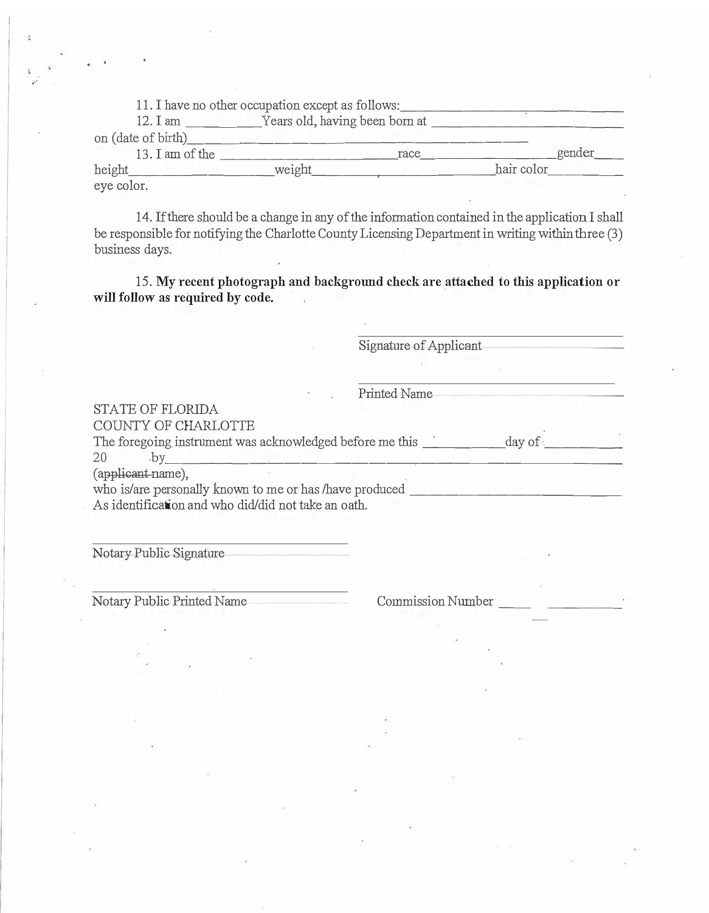|                    | 11. I have no other occupation except as follows: |      |            |
|--------------------|---------------------------------------------------|------|------------|
| 12. I am           | Years old, having been born at                    |      |            |
| on (date of birth) |                                                   |      |            |
| 13. I am of the    |                                                   | race | gender     |
| height             | weight                                            |      | hair color |
| eye color.         |                                                   |      |            |

14. If there should be a change in any of the information contained in the application I shall be responsible for notifying the Charlotte County Licensing Department in writing within three (3) business days.

15. My **recent photograph and background check are attached to this application or will follow as required** by **code.** 

Signature of Applicant

Printed Name

### STATE OF FLORIDA

COUNTY OF CHARLOTTE

The foregoing instrument was acknowledged before me this  $\frac{1}{20}$  day of  $\frac{1}{20}$ 

(applicant name),

who is/are personally known to me or has /have produced  $\frac{1}{\sqrt{1-\frac{1}{n}}}\frac{1}{\sqrt{1-\frac{1}{n}}}\frac{1}{\sqrt{1-\frac{1}{n}}}\frac{1}{\sqrt{1-\frac{1}{n}}}\frac{1}{\sqrt{1-\frac{1}{n}}}\frac{1}{\sqrt{1-\frac{1}{n}}}\frac{1}{\sqrt{1-\frac{1}{n}}}\frac{1}{\sqrt{1-\frac{1}{n}}}\frac{1}{\sqrt{1-\frac{1}{n}}}\frac{1}{\sqrt{1-\frac{1}{n}}}\frac{1$ As identification and who did/did not take an oath.

Notary Public Signature

Notary Public Printed Name Commission Number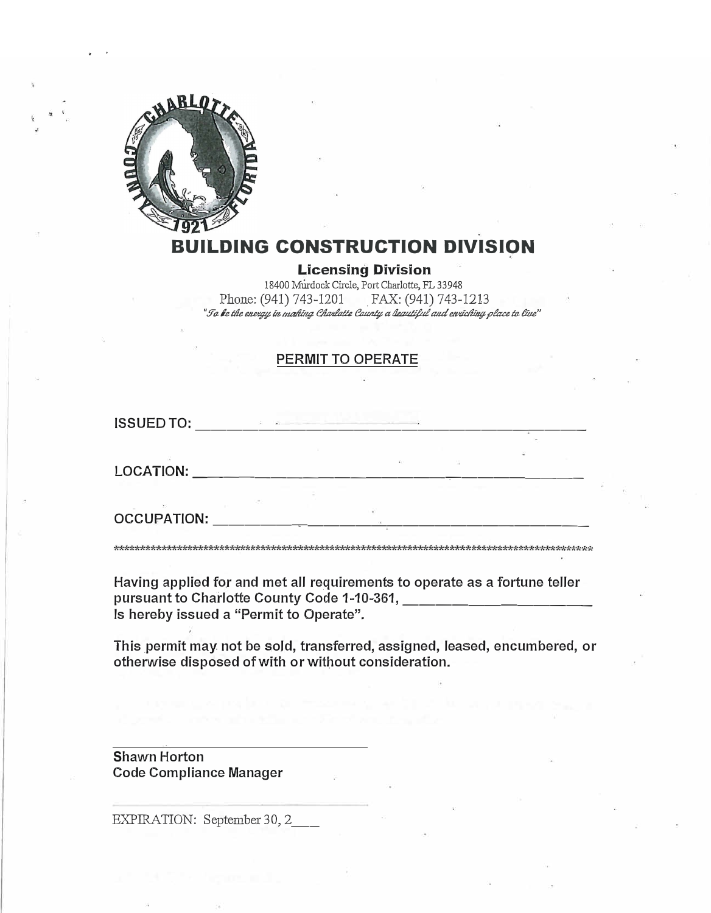

## DING CONSTRUCTION DIVISION

**Licensing Division** 

18400 Murdock Circle, Port Charlotte, FL 33948 Phone: (941) 743-1201 FAX: (941) 743-1213<br>"To be the energy in making Charlotte County a lequity and envioling place to live"

### PERMIT TO OPERATE

**ISSUED TO:** 

**LOCATION:** 

**OCCUPATION:** 

Having applied for and met all requirements to operate as a fortune teller pursuant to Charlotte County Code 1-10-361, Communication County Is hereby issued a "Permit to Operate".

This permit may not be sold, transferred, assigned, leased, encumbered, or otherwise disposed of with or without consideration.

**Shawn Horton Code Compliance Manager** 

EXPIRATION: September 30, 2